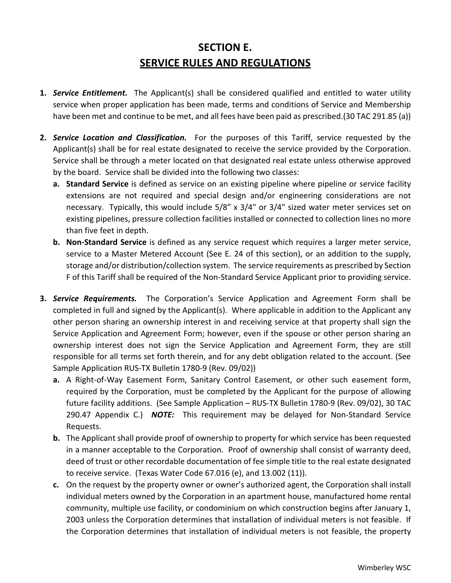# **SECTION E. SERVICE RULES AND REGULATIONS**

- **1.** *Service Entitlement.* The Applicant(s) shall be considered qualified and entitled to water utility service when proper application has been made, terms and conditions of Service and Membership have been met and continue to be met, and all fees have been paid as prescribed.(30 TAC 291.85 (a))
- **2.** *Service Location and Classification.* For the purposes of this Tariff, service requested by the Applicant(s) shall be for real estate designated to receive the service provided by the Corporation. Service shall be through a meter located on that designated real estate unless otherwise approved by the board. Service shall be divided into the following two classes:
	- **a. Standard Service** is defined as service on an existing pipeline where pipeline or service facility extensions are not required and special design and/or engineering considerations are not necessary. Typically, this would include 5/8" x 3/4" or 3/4" sized water meter services set on existing pipelines, pressure collection facilities installed or connected to collection lines no more than five feet in depth.
	- **b. Non-Standard Service** is defined as any service request which requires a larger meter service, service to a Master Metered Account (See E. 24 of this section), or an addition to the supply, storage and/or distribution/collection system. The service requirements as prescribed by Section F of this Tariff shall be required of the Non-Standard Service Applicant prior to providing service.
- **3.** *Service Requirements.* The Corporation's Service Application and Agreement Form shall be completed in full and signed by the Applicant(s). Where applicable in addition to the Applicant any other person sharing an ownership interest in and receiving service at that property shall sign the Service Application and Agreement Form; however, even if the spouse or other person sharing an ownership interest does not sign the Service Application and Agreement Form, they are still responsible for all terms set forth therein, and for any debt obligation related to the account. (See Sample Application RUS-TX Bulletin 1780-9 (Rev. 09/02))
	- **a.** A Right-of-Way Easement Form, Sanitary Control Easement, or other such easement form, required by the Corporation, must be completed by the Applicant for the purpose of allowing future facility additions. (See Sample Application – RUS-TX Bulletin 1780-9 (Rev. 09/02), 30 TAC 290.47 Appendix C.) *NOTE:* This requirement may be delayed for Non-Standard Service Requests.
	- **b.** The Applicant shall provide proof of ownership to property for which service has been requested in a manner acceptable to the Corporation. Proof of ownership shall consist of warranty deed, deed of trust or other recordable documentation of fee simple title to the real estate designated to receive service. (Texas Water Code 67.016 (e), and 13.002 (11)).
	- **c.** On the request by the property owner or owner's authorized agent, the Corporation shall install individual meters owned by the Corporation in an apartment house, manufactured home rental community, multiple use facility, or condominium on which construction begins after January 1, 2003 unless the Corporation determines that installation of individual meters is not feasible. If the Corporation determines that installation of individual meters is not feasible, the property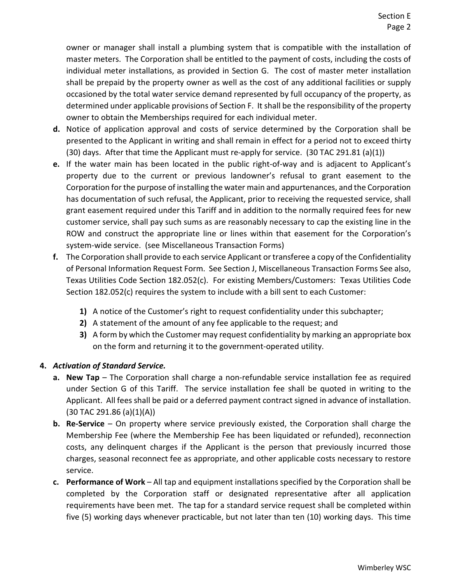owner or manager shall install a plumbing system that is compatible with the installation of master meters. The Corporation shall be entitled to the payment of costs, including the costs of individual meter installations, as provided in Section G. The cost of master meter installation shall be prepaid by the property owner as well as the cost of any additional facilities or supply occasioned by the total water service demand represented by full occupancy of the property, as determined under applicable provisions of Section F. It shall be the responsibility of the property owner to obtain the Memberships required for each individual meter.

- **d.** Notice of application approval and costs of service determined by the Corporation shall be presented to the Applicant in writing and shall remain in effect for a period not to exceed thirty (30) days. After that time the Applicant must re-apply for service. (30 TAC 291.81 (a)(1))
- **e.** If the water main has been located in the public right-of-way and is adjacent to Applicant's property due to the current or previous landowner's refusal to grant easement to the Corporation for the purpose of installing the water main and appurtenances, and the Corporation has documentation of such refusal, the Applicant, prior to receiving the requested service, shall grant easement required under this Tariff and in addition to the normally required fees for new customer service, shall pay such sums as are reasonably necessary to cap the existing line in the ROW and construct the appropriate line or lines within that easement for the Corporation's system-wide service. (see Miscellaneous Transaction Forms)
- **f.** The Corporation shall provide to each service Applicant or transferee a copy of the Confidentiality of Personal Information Request Form. See Section J, Miscellaneous Transaction Forms See also, Texas Utilities Code Section 182.052(c). For existing Members/Customers: Texas Utilities Code Section 182.052(c) requires the system to include with a bill sent to each Customer:
	- **1)** A notice of the Customer's right to request confidentiality under this subchapter;
	- **2)** A statement of the amount of any fee applicable to the request; and
	- **3)** A form by which the Customer may request confidentiality by marking an appropriate box on the form and returning it to the government-operated utility.

### **4.** *Activation of Standard Service.*

- **a. New Tap** The Corporation shall charge a non-refundable service installation fee as required under Section G of this Tariff. The service installation fee shall be quoted in writing to the Applicant. All fees shall be paid or a deferred payment contract signed in advance of installation.  $(30$  TAC 291.86  $(a)(1)(A))$
- **b. Re-Service** On property where service previously existed, the Corporation shall charge the Membership Fee (where the Membership Fee has been liquidated or refunded), reconnection costs, any delinquent charges if the Applicant is the person that previously incurred those charges, seasonal reconnect fee as appropriate, and other applicable costs necessary to restore service.
- **c. Performance of Work** All tap and equipment installations specified by the Corporation shall be completed by the Corporation staff or designated representative after all application requirements have been met. The tap for a standard service request shall be completed within five (5) working days whenever practicable, but not later than ten (10) working days. This time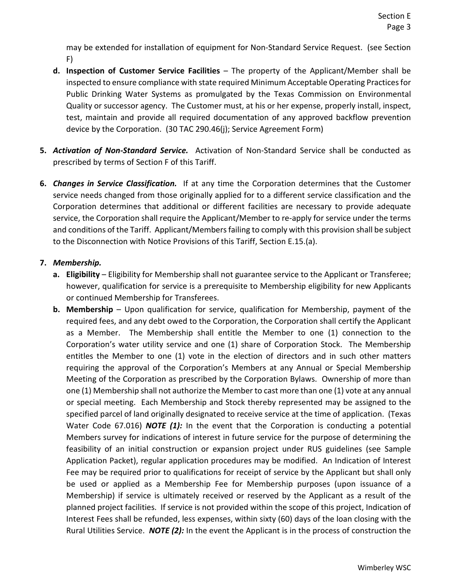may be extended for installation of equipment for Non-Standard Service Request. (see Section F)

- **d. Inspection of Customer Service Facilities** The property of the Applicant/Member shall be inspected to ensure compliance with state required Minimum Acceptable Operating Practices for Public Drinking Water Systems as promulgated by the Texas Commission on Environmental Quality or successor agency. The Customer must, at his or her expense, properly install, inspect, test, maintain and provide all required documentation of any approved backflow prevention device by the Corporation. (30 TAC 290.46(j); Service Agreement Form)
- **5.** *Activation of Non-Standard Service.* Activation of Non-Standard Service shall be conducted as prescribed by terms of Section F of this Tariff.
- **6.** *Changes in Service Classification.* If at any time the Corporation determines that the Customer service needs changed from those originally applied for to a different service classification and the Corporation determines that additional or different facilities are necessary to provide adequate service, the Corporation shall require the Applicant/Member to re-apply for service under the terms and conditions of the Tariff. Applicant/Members failing to comply with this provision shall be subject to the Disconnection with Notice Provisions of this Tariff, Section E.15.(a).

### **7.** *Membership.*

- **a. Eligibility** Eligibility for Membership shall not guarantee service to the Applicant or Transferee; however, qualification for service is a prerequisite to Membership eligibility for new Applicants or continued Membership for Transferees.
- **b. Membership** Upon qualification for service, qualification for Membership, payment of the required fees, and any debt owed to the Corporation, the Corporation shall certify the Applicant as a Member. The Membership shall entitle the Member to one (1) connection to the Corporation's water utility service and one (1) share of Corporation Stock. The Membership entitles the Member to one (1) vote in the election of directors and in such other matters requiring the approval of the Corporation's Members at any Annual or Special Membership Meeting of the Corporation as prescribed by the Corporation Bylaws. Ownership of more than one (1) Membership shall not authorize the Member to cast more than one (1) vote at any annual or special meeting. Each Membership and Stock thereby represented may be assigned to the specified parcel of land originally designated to receive service at the time of application. (Texas Water Code 67.016) *NOTE (1):* In the event that the Corporation is conducting a potential Members survey for indications of interest in future service for the purpose of determining the feasibility of an initial construction or expansion project under RUS guidelines (see Sample Application Packet), regular application procedures may be modified. An Indication of Interest Fee may be required prior to qualifications for receipt of service by the Applicant but shall only be used or applied as a Membership Fee for Membership purposes (upon issuance of a Membership) if service is ultimately received or reserved by the Applicant as a result of the planned project facilities. If service is not provided within the scope of this project, Indication of Interest Fees shall be refunded, less expenses, within sixty (60) days of the loan closing with the Rural Utilities Service. *NOTE (2):* In the event the Applicant is in the process of construction the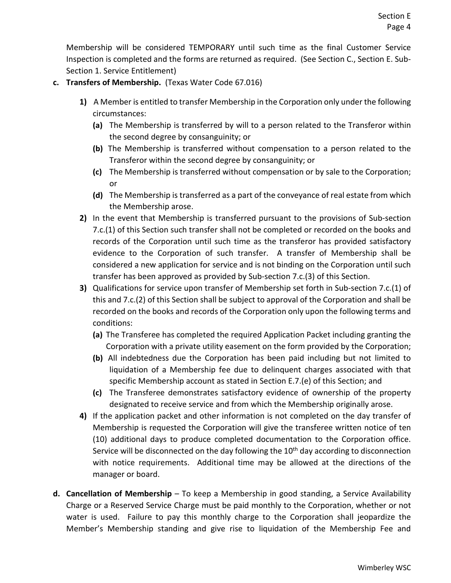Membership will be considered TEMPORARY until such time as the final Customer Service Inspection is completed and the forms are returned as required. (See Section C., Section E. Sub-Section 1. Service Entitlement)

- **c. Transfers of Membership.** (Texas Water Code 67.016)
	- **1)** A Member is entitled to transfer Membership in the Corporation only under the following circumstances:
		- **(a)** The Membership is transferred by will to a person related to the Transferor within the second degree by consanguinity; or
		- **(b)** The Membership is transferred without compensation to a person related to the Transferor within the second degree by consanguinity; or
		- **(c)** The Membership is transferred without compensation or by sale to the Corporation; or
		- **(d)** The Membership is transferred as a part of the conveyance of real estate from which the Membership arose.
	- **2)** In the event that Membership is transferred pursuant to the provisions of Sub-section 7.c.(1) of this Section such transfer shall not be completed or recorded on the books and records of the Corporation until such time as the transferor has provided satisfactory evidence to the Corporation of such transfer. A transfer of Membership shall be considered a new application for service and is not binding on the Corporation until such transfer has been approved as provided by Sub-section 7.c.(3) of this Section.
	- **3)** Qualifications for service upon transfer of Membership set forth in Sub-section 7.c.(1) of this and 7.c.(2) of this Section shall be subject to approval of the Corporation and shall be recorded on the books and records of the Corporation only upon the following terms and conditions:
		- **(a)** The Transferee has completed the required Application Packet including granting the Corporation with a private utility easement on the form provided by the Corporation;
		- **(b)** All indebtedness due the Corporation has been paid including but not limited to liquidation of a Membership fee due to delinquent charges associated with that specific Membership account as stated in Section E.7.(e) of this Section; and
		- **(c)** The Transferee demonstrates satisfactory evidence of ownership of the property designated to receive service and from which the Membership originally arose.
	- **4)** If the application packet and other information is not completed on the day transfer of Membership is requested the Corporation will give the transferee written notice of ten (10) additional days to produce completed documentation to the Corporation office. Service will be disconnected on the day following the  $10<sup>th</sup>$  day according to disconnection with notice requirements. Additional time may be allowed at the directions of the manager or board.
- **d. Cancellation of Membership** To keep a Membership in good standing, a Service Availability Charge or a Reserved Service Charge must be paid monthly to the Corporation, whether or not water is used. Failure to pay this monthly charge to the Corporation shall jeopardize the Member's Membership standing and give rise to liquidation of the Membership Fee and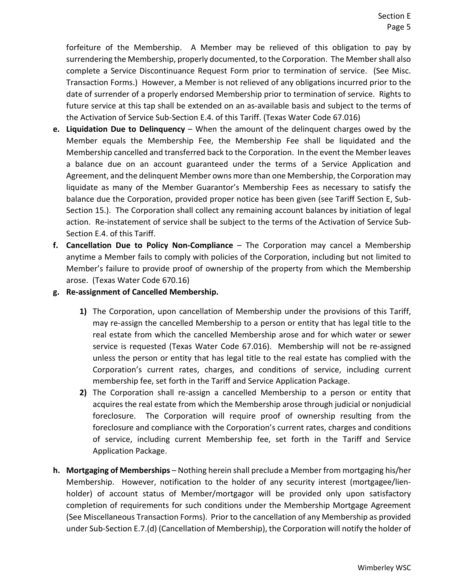forfeiture of the Membership. A Member may be relieved of this obligation to pay by surrendering the Membership, properly documented, to the Corporation. The Member shall also complete a Service Discontinuance Request Form prior to termination of service. (See Misc. Transaction Forms.) However, a Member is not relieved of any obligations incurred prior to the date of surrender of a properly endorsed Membership prior to termination of service. Rights to future service at this tap shall be extended on an as-available basis and subject to the terms of the Activation of Service Sub-Section E.4. of this Tariff. (Texas Water Code 67.016)

- **e. Liquidation Due to Delinquency** When the amount of the delinquent charges owed by the Member equals the Membership Fee, the Membership Fee shall be liquidated and the Membership cancelled and transferred back to the Corporation. In the event the Member leaves a balance due on an account guaranteed under the terms of a Service Application and Agreement, and the delinquent Member owns more than one Membership, the Corporation may liquidate as many of the Member Guarantor's Membership Fees as necessary to satisfy the balance due the Corporation, provided proper notice has been given (see Tariff Section E, Sub-Section 15.). The Corporation shall collect any remaining account balances by initiation of legal action. Re-instatement of service shall be subject to the terms of the Activation of Service Sub-Section E.4. of this Tariff.
- **f. Cancellation Due to Policy Non-Compliance** The Corporation may cancel a Membership anytime a Member fails to comply with policies of the Corporation, including but not limited to Member's failure to provide proof of ownership of the property from which the Membership arose. (Texas Water Code 670.16)
- **g. Re-assignment of Cancelled Membership.**
	- **1)** The Corporation, upon cancellation of Membership under the provisions of this Tariff, may re-assign the cancelled Membership to a person or entity that has legal title to the real estate from which the cancelled Membership arose and for which water or sewer service is requested (Texas Water Code 67.016). Membership will not be re-assigned unless the person or entity that has legal title to the real estate has complied with the Corporation's current rates, charges, and conditions of service, including current membership fee, set forth in the Tariff and Service Application Package.
	- **2)** The Corporation shall re-assign a cancelled Membership to a person or entity that acquires the real estate from which the Membership arose through judicial or nonjudicial foreclosure. The Corporation will require proof of ownership resulting from the foreclosure and compliance with the Corporation's current rates, charges and conditions of service, including current Membership fee, set forth in the Tariff and Service Application Package.
- **h. Mortgaging of Memberships** Nothing herein shall preclude a Member from mortgaging his/her Membership. However, notification to the holder of any security interest (mortgagee/lienholder) of account status of Member/mortgagor will be provided only upon satisfactory completion of requirements for such conditions under the Membership Mortgage Agreement (See Miscellaneous Transaction Forms). Prior to the cancellation of any Membership as provided under Sub-Section E.7.(d) (Cancellation of Membership), the Corporation will notify the holder of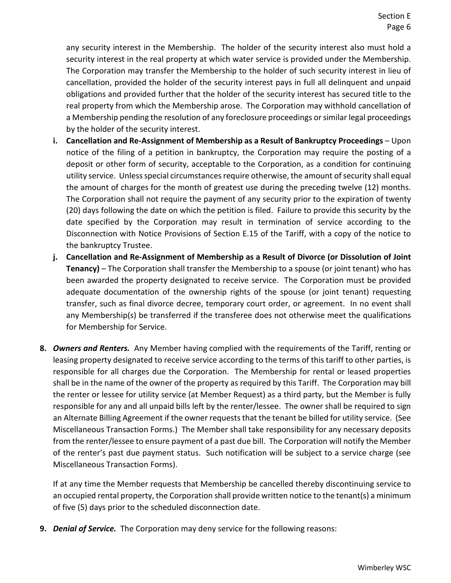any security interest in the Membership. The holder of the security interest also must hold a security interest in the real property at which water service is provided under the Membership. The Corporation may transfer the Membership to the holder of such security interest in lieu of cancellation, provided the holder of the security interest pays in full all delinquent and unpaid obligations and provided further that the holder of the security interest has secured title to the real property from which the Membership arose. The Corporation may withhold cancellation of a Membership pending the resolution of any foreclosure proceedings or similar legal proceedings by the holder of the security interest.

- **i. Cancellation and Re-Assignment of Membership as a Result of Bankruptcy Proceedings** Upon notice of the filing of a petition in bankruptcy, the Corporation may require the posting of a deposit or other form of security, acceptable to the Corporation, as a condition for continuing utility service. Unless special circumstances require otherwise, the amount of security shall equal the amount of charges for the month of greatest use during the preceding twelve (12) months. The Corporation shall not require the payment of any security prior to the expiration of twenty (20) days following the date on which the petition is filed. Failure to provide this security by the date specified by the Corporation may result in termination of service according to the Disconnection with Notice Provisions of Section E.15 of the Tariff, with a copy of the notice to the bankruptcy Trustee.
- **j. Cancellation and Re-Assignment of Membership as a Result of Divorce (or Dissolution of Joint Tenancy)** – The Corporation shall transfer the Membership to a spouse (or joint tenant) who has been awarded the property designated to receive service. The Corporation must be provided adequate documentation of the ownership rights of the spouse (or joint tenant) requesting transfer, such as final divorce decree, temporary court order, or agreement. In no event shall any Membership(s) be transferred if the transferee does not otherwise meet the qualifications for Membership for Service.
- **8.** *Owners and Renters.* Any Member having complied with the requirements of the Tariff, renting or leasing property designated to receive service according to the terms of this tariff to other parties, is responsible for all charges due the Corporation. The Membership for rental or leased properties shall be in the name of the owner of the property as required by this Tariff. The Corporation may bill the renter or lessee for utility service (at Member Request) as a third party, but the Member is fully responsible for any and all unpaid bills left by the renter/lessee. The owner shall be required to sign an Alternate Billing Agreement if the owner requests that the tenant be billed for utility service. (See Miscellaneous Transaction Forms.) The Member shall take responsibility for any necessary deposits from the renter/lessee to ensure payment of a past due bill. The Corporation will notify the Member of the renter's past due payment status. Such notification will be subject to a service charge (see Miscellaneous Transaction Forms).

If at any time the Member requests that Membership be cancelled thereby discontinuing service to an occupied rental property, the Corporation shall provide written notice to the tenant(s) a minimum of five (5) days prior to the scheduled disconnection date.

**9.** *Denial of Service.* The Corporation may deny service for the following reasons: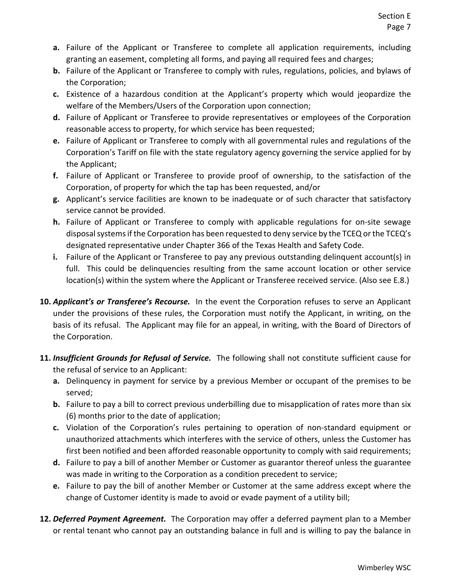- **a.** Failure of the Applicant or Transferee to complete all application requirements, including granting an easement, completing all forms, and paying all required fees and charges;
- **b.** Failure of the Applicant or Transferee to comply with rules, regulations, policies, and bylaws of the Corporation;
- **c.** Existence of a hazardous condition at the Applicant's property which would jeopardize the welfare of the Members/Users of the Corporation upon connection;
- **d.** Failure of Applicant or Transferee to provide representatives or employees of the Corporation reasonable access to property, for which service has been requested;
- **e.** Failure of Applicant or Transferee to comply with all governmental rules and regulations of the Corporation's Tariff on file with the state regulatory agency governing the service applied for by the Applicant;
- **f.** Failure of Applicant or Transferee to provide proof of ownership, to the satisfaction of the Corporation, of property for which the tap has been requested, and/or
- **g.** Applicant's service facilities are known to be inadequate or of such character that satisfactory service cannot be provided.
- **h.** Failure of Applicant or Transferee to comply with applicable regulations for on-site sewage disposal systems if the Corporation has been requested to deny service by the TCEQ or the TCEQ's designated representative under Chapter 366 of the Texas Health and Safety Code.
- **i.** Failure of the Applicant or Transferee to pay any previous outstanding delinquent account(s) in full. This could be delinquencies resulting from the same account location or other service location(s) within the system where the Applicant or Transferee received service. (Also see E.8.)
- **10.** *Applicant's or Transferee's Recourse.* In the event the Corporation refuses to serve an Applicant under the provisions of these rules, the Corporation must notify the Applicant, in writing, on the basis of its refusal. The Applicant may file for an appeal, in writing, with the Board of Directors of the Corporation.
- **11.** *Insufficient Grounds for Refusal of Service.* The following shall not constitute sufficient cause for the refusal of service to an Applicant:
	- **a.** Delinquency in payment for service by a previous Member or occupant of the premises to be served;
	- **b.** Failure to pay a bill to correct previous underbilling due to misapplication of rates more than six (6) months prior to the date of application;
	- **c.** Violation of the Corporation's rules pertaining to operation of non-standard equipment or unauthorized attachments which interferes with the service of others, unless the Customer has first been notified and been afforded reasonable opportunity to comply with said requirements;
	- **d.** Failure to pay a bill of another Member or Customer as guarantor thereof unless the guarantee was made in writing to the Corporation as a condition precedent to service;
	- **e.** Failure to pay the bill of another Member or Customer at the same address except where the change of Customer identity is made to avoid or evade payment of a utility bill;
- **12.** *Deferred Payment Agreement.* The Corporation may offer a deferred payment plan to a Member or rental tenant who cannot pay an outstanding balance in full and is willing to pay the balance in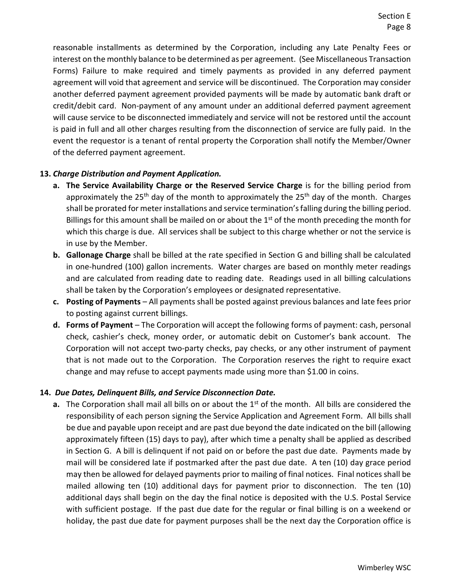reasonable installments as determined by the Corporation, including any Late Penalty Fees or interest on the monthly balance to be determined as per agreement. (See Miscellaneous Transaction Forms) Failure to make required and timely payments as provided in any deferred payment agreement will void that agreement and service will be discontinued. The Corporation may consider another deferred payment agreement provided payments will be made by automatic bank draft or credit/debit card. Non-payment of any amount under an additional deferred payment agreement will cause service to be disconnected immediately and service will not be restored until the account is paid in full and all other charges resulting from the disconnection of service are fully paid. In the event the requestor is a tenant of rental property the Corporation shall notify the Member/Owner of the deferred payment agreement.

### **13.** *Charge Distribution and Payment Application.*

- **a. The Service Availability Charge or the Reserved Service Charge** is for the billing period from approximately the 25<sup>th</sup> day of the month to approximately the 25<sup>th</sup> day of the month. Charges shall be prorated for meter installations and service termination's falling during the billing period. Billings for this amount shall be mailed on or about the  $1<sup>st</sup>$  of the month preceding the month for which this charge is due. All services shall be subject to this charge whether or not the service is in use by the Member.
- **b. Gallonage Charge** shall be billed at the rate specified in Section G and billing shall be calculated in one-hundred (100) gallon increments. Water charges are based on monthly meter readings and are calculated from reading date to reading date. Readings used in all billing calculations shall be taken by the Corporation's employees or designated representative.
- **c. Posting of Payments** All payments shall be posted against previous balances and late fees prior to posting against current billings.
- **d. Forms of Payment** The Corporation will accept the following forms of payment: cash, personal check, cashier's check, money order, or automatic debit on Customer's bank account. The Corporation will not accept two-party checks, pay checks, or any other instrument of payment that is not made out to the Corporation. The Corporation reserves the right to require exact change and may refuse to accept payments made using more than \$1.00 in coins.

### **14.** *Due Dates, Delinquent Bills, and Service Disconnection Date.*

**a.** The Corporation shall mail all bills on or about the 1<sup>st</sup> of the month. All bills are considered the responsibility of each person signing the Service Application and Agreement Form. All bills shall be due and payable upon receipt and are past due beyond the date indicated on the bill (allowing approximately fifteen (15) days to pay), after which time a penalty shall be applied as described in Section G. A bill is delinquent if not paid on or before the past due date. Payments made by mail will be considered late if postmarked after the past due date. A ten (10) day grace period may then be allowed for delayed payments prior to mailing of final notices. Final notices shall be mailed allowing ten (10) additional days for payment prior to disconnection. The ten (10) additional days shall begin on the day the final notice is deposited with the U.S. Postal Service with sufficient postage. If the past due date for the regular or final billing is on a weekend or holiday, the past due date for payment purposes shall be the next day the Corporation office is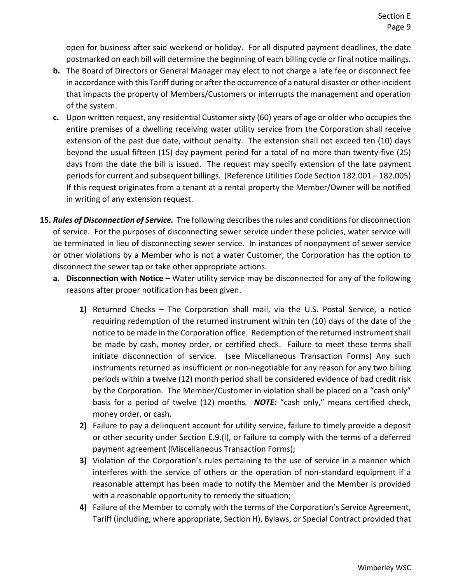open for business after said weekend or holiday. For all disputed payment deadlines, the date postmarked on each bill will determine the beginning of each billing cycle or final notice mailings.

- **b.** The Board of Directors or General Manager may elect to not charge a late fee or disconnect fee in accordance with this Tariff during or after the occurrence of a natural disaster or other incident that impacts the property of Members/Customers or interrupts the management and operation of the system.
- **c.** Upon written request, any residential Customer sixty (60) years of age or older who occupies the entire premises of a dwelling receiving water utility service from the Corporation shall receive extension of the past due date, without penalty. The extension shall not exceed ten (10) days beyond the usual fifteen (15) day payment period for a total of no more than twenty-five (25) days from the date the bill is issued. The request may specify extension of the late payment periods for current and subsequent billings. (Reference Utilities Code Section 182.001 – 182.005) If this request originates from a tenant at a rental property the Member/Owner will be notified in writing of any extension request.
- **15.** *Rules of Disconnection of Service.* The following describes the rules and conditions for disconnection of service. For the purposes of disconnecting sewer service under these policies, water service will be terminated in lieu of disconnecting sewer service. In instances of nonpayment of sewer service or other violations by a Member who is not a water Customer, the Corporation has the option to disconnect the sewer tap or take other appropriate actions.
	- **a. Disconnection with Notice** Water utility service may be disconnected for any of the following reasons after proper notification has been given.
		- **1)** Returned Checks The Corporation shall mail, via the U.S. Postal Service, a notice requiring redemption of the returned instrument within ten (10) days of the date of the notice to be made in the Corporation office. Redemption of the returned instrument shall be made by cash, money order, or certified check. Failure to meet these terms shall initiate disconnection of service. (see Miscellaneous Transaction Forms) Any such instruments returned as insufficient or non-negotiable for any reason for any two billing periods within a twelve (12) month period shall be considered evidence of bad credit risk by the Corporation. The Member/Customer in violation shall be placed on a "cash only" basis for a period of twelve (12) months*. NOTE:* "cash only," means certified check, money order, or cash.
		- **2)** Failure to pay a delinquent account for utility service, failure to timely provide a deposit or other security under Section E.9.(i), or failure to comply with the terms of a deferred payment agreement (Miscellaneous Transaction Forms);
		- **3)** Violation of the Corporation's rules pertaining to the use of service in a manner which interferes with the service of others or the operation of non-standard equipment if a reasonable attempt has been made to notify the Member and the Member is provided with a reasonable opportunity to remedy the situation;
		- **4)** Failure of the Member to comply with the terms of the Corporation's Service Agreement, Tariff (including, where appropriate, Section H), Bylaws, or Special Contract provided that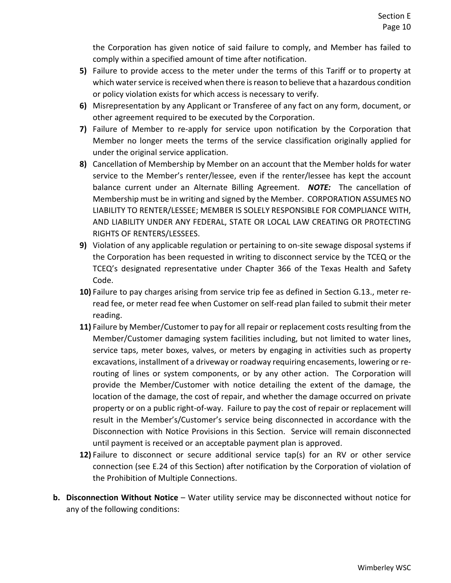the Corporation has given notice of said failure to comply, and Member has failed to comply within a specified amount of time after notification.

- **5)** Failure to provide access to the meter under the terms of this Tariff or to property at which water service is received when there is reason to believe that a hazardous condition or policy violation exists for which access is necessary to verify.
- **6)** Misrepresentation by any Applicant or Transferee of any fact on any form, document, or other agreement required to be executed by the Corporation.
- **7)** Failure of Member to re-apply for service upon notification by the Corporation that Member no longer meets the terms of the service classification originally applied for under the original service application.
- **8)** Cancellation of Membership by Member on an account that the Member holds for water service to the Member's renter/lessee, even if the renter/lessee has kept the account balance current under an Alternate Billing Agreement. *NOTE:* The cancellation of Membership must be in writing and signed by the Member. CORPORATION ASSUMES NO LIABILITY TO RENTER/LESSEE; MEMBER IS SOLELY RESPONSIBLE FOR COMPLIANCE WITH, AND LIABILITY UNDER ANY FEDERAL, STATE OR LOCAL LAW CREATING OR PROTECTING RIGHTS OF RENTERS/LESSEES.
- **9)** Violation of any applicable regulation or pertaining to on-site sewage disposal systems if the Corporation has been requested in writing to disconnect service by the TCEQ or the TCEQ's designated representative under Chapter 366 of the Texas Health and Safety Code.
- **10)** Failure to pay charges arising from service trip fee as defined in Section G.13., meter reread fee, or meter read fee when Customer on self-read plan failed to submit their meter reading.
- **11)** Failure by Member/Customer to pay for all repair or replacement costs resulting from the Member/Customer damaging system facilities including, but not limited to water lines, service taps, meter boxes, valves, or meters by engaging in activities such as property excavations, installment of a driveway or roadway requiring encasements, lowering or rerouting of lines or system components, or by any other action. The Corporation will provide the Member/Customer with notice detailing the extent of the damage, the location of the damage, the cost of repair, and whether the damage occurred on private property or on a public right-of-way. Failure to pay the cost of repair or replacement will result in the Member's/Customer's service being disconnected in accordance with the Disconnection with Notice Provisions in this Section. Service will remain disconnected until payment is received or an acceptable payment plan is approved.
- **12)** Failure to disconnect or secure additional service tap(s) for an RV or other service connection (see E.24 of this Section) after notification by the Corporation of violation of the Prohibition of Multiple Connections.
- **b. Disconnection Without Notice** Water utility service may be disconnected without notice for any of the following conditions: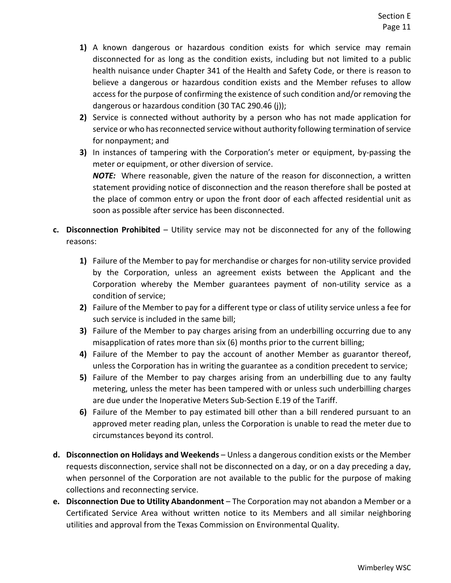- **1)** A known dangerous or hazardous condition exists for which service may remain disconnected for as long as the condition exists, including but not limited to a public health nuisance under Chapter 341 of the Health and Safety Code, or there is reason to believe a dangerous or hazardous condition exists and the Member refuses to allow access for the purpose of confirming the existence of such condition and/or removing the dangerous or hazardous condition (30 TAC 290.46 (j));
- **2)** Service is connected without authority by a person who has not made application for service or who has reconnected service without authority following termination of service for nonpayment; and
- **3)** In instances of tampering with the Corporation's meter or equipment, by-passing the meter or equipment, or other diversion of service. *NOTE:* Where reasonable, given the nature of the reason for disconnection, a written statement providing notice of disconnection and the reason therefore shall be posted at the place of common entry or upon the front door of each affected residential unit as soon as possible after service has been disconnected.
- **c. Disconnection Prohibited** Utility service may not be disconnected for any of the following reasons:
	- **1)** Failure of the Member to pay for merchandise or charges for non-utility service provided by the Corporation, unless an agreement exists between the Applicant and the Corporation whereby the Member guarantees payment of non-utility service as a condition of service;
	- **2)** Failure of the Member to pay for a different type or class of utility service unless a fee for such service is included in the same bill;
	- **3)** Failure of the Member to pay charges arising from an underbilling occurring due to any misapplication of rates more than six (6) months prior to the current billing;
	- **4)** Failure of the Member to pay the account of another Member as guarantor thereof, unless the Corporation has in writing the guarantee as a condition precedent to service;
	- **5)** Failure of the Member to pay charges arising from an underbilling due to any faulty metering, unless the meter has been tampered with or unless such underbilling charges are due under the Inoperative Meters Sub-Section E.19 of the Tariff.
	- **6)** Failure of the Member to pay estimated bill other than a bill rendered pursuant to an approved meter reading plan, unless the Corporation is unable to read the meter due to circumstances beyond its control.
- **d. Disconnection on Holidays and Weekends** Unless a dangerous condition exists or the Member requests disconnection, service shall not be disconnected on a day, or on a day preceding a day, when personnel of the Corporation are not available to the public for the purpose of making collections and reconnecting service.
- **e. Disconnection Due to Utility Abandonment** The Corporation may not abandon a Member or a Certificated Service Area without written notice to its Members and all similar neighboring utilities and approval from the Texas Commission on Environmental Quality.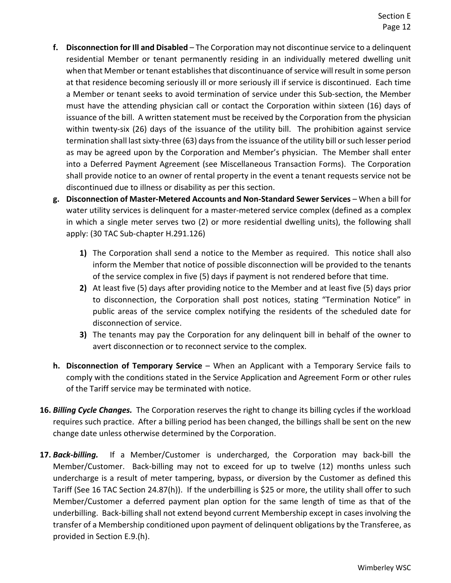- **f. Disconnection for Ill and Disabled** The Corporation may not discontinue service to a delinquent residential Member or tenant permanently residing in an individually metered dwelling unit when that Member or tenant establishes that discontinuance of service will result in some person at that residence becoming seriously ill or more seriously ill if service is discontinued. Each time a Member or tenant seeks to avoid termination of service under this Sub-section, the Member must have the attending physician call or contact the Corporation within sixteen (16) days of issuance of the bill. A written statement must be received by the Corporation from the physician within twenty-six (26) days of the issuance of the utility bill. The prohibition against service termination shall last sixty-three (63) days from the issuance of the utility bill or such lesser period as may be agreed upon by the Corporation and Member's physician. The Member shall enter into a Deferred Payment Agreement (see Miscellaneous Transaction Forms). The Corporation shall provide notice to an owner of rental property in the event a tenant requests service not be discontinued due to illness or disability as per this section.
- **g. Disconnection of Master-Metered Accounts and Non-Standard Sewer Services** When a bill for water utility services is delinquent for a master-metered service complex (defined as a complex in which a single meter serves two (2) or more residential dwelling units), the following shall apply: (30 TAC Sub-chapter H.291.126)
	- **1)** The Corporation shall send a notice to the Member as required. This notice shall also inform the Member that notice of possible disconnection will be provided to the tenants of the service complex in five (5) days if payment is not rendered before that time.
	- **2)** At least five (5) days after providing notice to the Member and at least five (5) days prior to disconnection, the Corporation shall post notices, stating "Termination Notice" in public areas of the service complex notifying the residents of the scheduled date for disconnection of service.
	- **3)** The tenants may pay the Corporation for any delinquent bill in behalf of the owner to avert disconnection or to reconnect service to the complex.
- **h. Disconnection of Temporary Service** When an Applicant with a Temporary Service fails to comply with the conditions stated in the Service Application and Agreement Form or other rules of the Tariff service may be terminated with notice.
- **16.** *Billing Cycle Changes.* The Corporation reserves the right to change its billing cycles if the workload requires such practice. After a billing period has been changed, the billings shall be sent on the new change date unless otherwise determined by the Corporation.
- **17.** *Back-billing.* If a Member/Customer is undercharged, the Corporation may back-bill the Member/Customer. Back-billing may not to exceed for up to twelve (12) months unless such undercharge is a result of meter tampering, bypass, or diversion by the Customer as defined this Tariff (See 16 TAC Section 24.87(h)). If the underbilling is \$25 or more, the utility shall offer to such Member/Customer a deferred payment plan option for the same length of time as that of the underbilling. Back-billing shall not extend beyond current Membership except in cases involving the transfer of a Membership conditioned upon payment of delinquent obligations by the Transferee, as provided in Section E.9.(h).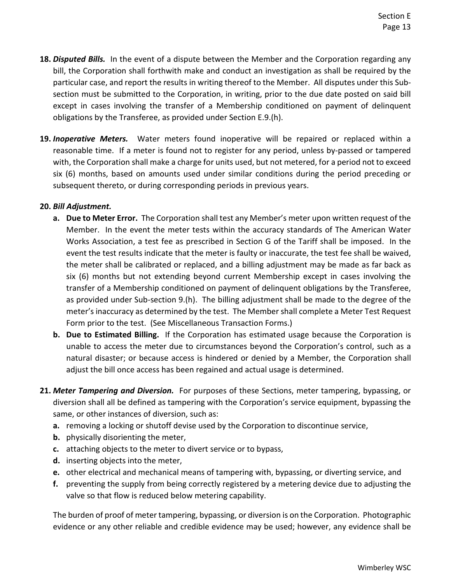- **18.** *Disputed Bills.* In the event of a dispute between the Member and the Corporation regarding any bill, the Corporation shall forthwith make and conduct an investigation as shall be required by the particular case, and report the results in writing thereof to the Member. All disputes under this Subsection must be submitted to the Corporation, in writing, prior to the due date posted on said bill except in cases involving the transfer of a Membership conditioned on payment of delinquent obligations by the Transferee, as provided under Section E.9.(h).
- **19.** *Inoperative Meters.* Water meters found inoperative will be repaired or replaced within a reasonable time. If a meter is found not to register for any period, unless by-passed or tampered with, the Corporation shall make a charge for units used, but not metered, for a period not to exceed six (6) months, based on amounts used under similar conditions during the period preceding or subsequent thereto, or during corresponding periods in previous years.

#### **20.** *Bill Adjustment.*

- **a. Due to Meter Error.** The Corporation shall test any Member's meter upon written request of the Member. In the event the meter tests within the accuracy standards of The American Water Works Association, a test fee as prescribed in Section G of the Tariff shall be imposed. In the event the test results indicate that the meter is faulty or inaccurate, the test fee shall be waived, the meter shall be calibrated or replaced, and a billing adjustment may be made as far back as six (6) months but not extending beyond current Membership except in cases involving the transfer of a Membership conditioned on payment of delinquent obligations by the Transferee, as provided under Sub-section 9.(h). The billing adjustment shall be made to the degree of the meter's inaccuracy as determined by the test. The Member shall complete a Meter Test Request Form prior to the test. (See Miscellaneous Transaction Forms.)
- **b. Due to Estimated Billing.** If the Corporation has estimated usage because the Corporation is unable to access the meter due to circumstances beyond the Corporation's control, such as a natural disaster; or because access is hindered or denied by a Member, the Corporation shall adjust the bill once access has been regained and actual usage is determined.
- **21.** *Meter Tampering and Diversion.* For purposes of these Sections, meter tampering, bypassing, or diversion shall all be defined as tampering with the Corporation's service equipment, bypassing the same, or other instances of diversion, such as:
	- **a.** removing a locking or shutoff devise used by the Corporation to discontinue service,
	- **b.** physically disorienting the meter,
	- **c.** attaching objects to the meter to divert service or to bypass,
	- **d.** inserting objects into the meter,
	- **e.** other electrical and mechanical means of tampering with, bypassing, or diverting service, and
	- **f.** preventing the supply from being correctly registered by a metering device due to adjusting the valve so that flow is reduced below metering capability.

The burden of proof of meter tampering, bypassing, or diversion is on the Corporation. Photographic evidence or any other reliable and credible evidence may be used; however, any evidence shall be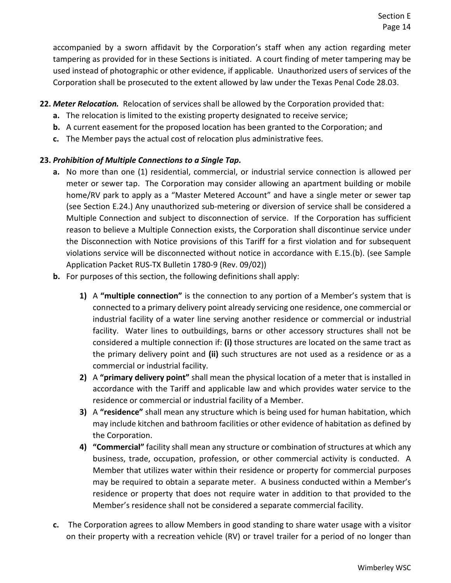accompanied by a sworn affidavit by the Corporation's staff when any action regarding meter tampering as provided for in these Sections is initiated. A court finding of meter tampering may be used instead of photographic or other evidence, if applicable. Unauthorized users of services of the Corporation shall be prosecuted to the extent allowed by law under the Texas Penal Code 28.03.

- **22.** *Meter Relocation.* Relocation of services shall be allowed by the Corporation provided that:
	- **a.** The relocation is limited to the existing property designated to receive service;
	- **b.** A current easement for the proposed location has been granted to the Corporation; and
	- **c.** The Member pays the actual cost of relocation plus administrative fees.

### **23.** *Prohibition of Multiple Connections to a Single Tap.*

- **a.** No more than one (1) residential, commercial, or industrial service connection is allowed per meter or sewer tap. The Corporation may consider allowing an apartment building or mobile home/RV park to apply as a "Master Metered Account" and have a single meter or sewer tap (see Section E.24.) Any unauthorized sub-metering or diversion of service shall be considered a Multiple Connection and subject to disconnection of service. If the Corporation has sufficient reason to believe a Multiple Connection exists, the Corporation shall discontinue service under the Disconnection with Notice provisions of this Tariff for a first violation and for subsequent violations service will be disconnected without notice in accordance with E.15.(b). (see Sample Application Packet RUS-TX Bulletin 1780-9 (Rev. 09/02))
- **b.** For purposes of this section, the following definitions shall apply:
	- **1)** A **"multiple connection"** is the connection to any portion of a Member's system that is connected to a primary delivery point already servicing one residence, one commercial or industrial facility of a water line serving another residence or commercial or industrial facility. Water lines to outbuildings, barns or other accessory structures shall not be considered a multiple connection if: **(i)** those structures are located on the same tract as the primary delivery point and **(ii)** such structures are not used as a residence or as a commercial or industrial facility.
	- **2)** A **"primary delivery point"** shall mean the physical location of a meter that is installed in accordance with the Tariff and applicable law and which provides water service to the residence or commercial or industrial facility of a Member.
	- **3)** A **"residence"** shall mean any structure which is being used for human habitation, which may include kitchen and bathroom facilities or other evidence of habitation as defined by the Corporation.
	- **4) "Commercial"** facility shall mean any structure or combination of structures at which any business, trade, occupation, profession, or other commercial activity is conducted. A Member that utilizes water within their residence or property for commercial purposes may be required to obtain a separate meter. A business conducted within a Member's residence or property that does not require water in addition to that provided to the Member's residence shall not be considered a separate commercial facility.
- **c.** The Corporation agrees to allow Members in good standing to share water usage with a visitor on their property with a recreation vehicle (RV) or travel trailer for a period of no longer than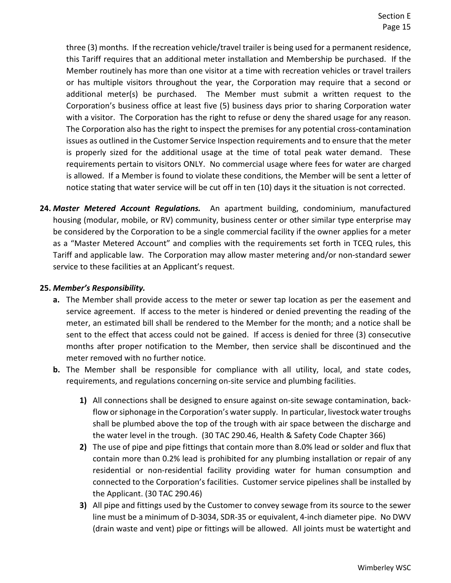three (3) months. If the recreation vehicle/travel trailer is being used for a permanent residence, this Tariff requires that an additional meter installation and Membership be purchased. If the Member routinely has more than one visitor at a time with recreation vehicles or travel trailers or has multiple visitors throughout the year, the Corporation may require that a second or additional meter(s) be purchased. The Member must submit a written request to the Corporation's business office at least five (5) business days prior to sharing Corporation water with a visitor. The Corporation has the right to refuse or deny the shared usage for any reason. The Corporation also has the right to inspect the premises for any potential cross-contamination issues as outlined in the Customer Service Inspection requirements and to ensure that the meter is properly sized for the additional usage at the time of total peak water demand. These requirements pertain to visitors ONLY. No commercial usage where fees for water are charged is allowed. If a Member is found to violate these conditions, the Member will be sent a letter of notice stating that water service will be cut off in ten (10) days it the situation is not corrected.

**24.** *Master Metered Account Regulations.* An apartment building, condominium, manufactured housing (modular, mobile, or RV) community, business center or other similar type enterprise may be considered by the Corporation to be a single commercial facility if the owner applies for a meter as a "Master Metered Account" and complies with the requirements set forth in TCEQ rules, this Tariff and applicable law. The Corporation may allow master metering and/or non-standard sewer service to these facilities at an Applicant's request.

## **25.** *Member's Responsibility.*

- **a.** The Member shall provide access to the meter or sewer tap location as per the easement and service agreement. If access to the meter is hindered or denied preventing the reading of the meter, an estimated bill shall be rendered to the Member for the month; and a notice shall be sent to the effect that access could not be gained. If access is denied for three (3) consecutive months after proper notification to the Member, then service shall be discontinued and the meter removed with no further notice.
- **b.** The Member shall be responsible for compliance with all utility, local, and state codes, requirements, and regulations concerning on-site service and plumbing facilities.
	- **1)** All connections shall be designed to ensure against on-site sewage contamination, backflow or siphonage in the Corporation's water supply. In particular, livestock water troughs shall be plumbed above the top of the trough with air space between the discharge and the water level in the trough. (30 TAC 290.46, Health & Safety Code Chapter 366)
	- **2)** The use of pipe and pipe fittings that contain more than 8.0% lead or solder and flux that contain more than 0.2% lead is prohibited for any plumbing installation or repair of any residential or non-residential facility providing water for human consumption and connected to the Corporation's facilities. Customer service pipelines shall be installed by the Applicant. (30 TAC 290.46)
	- **3)** All pipe and fittings used by the Customer to convey sewage from its source to the sewer line must be a minimum of D-3034, SDR-35 or equivalent, 4-inch diameter pipe. No DWV (drain waste and vent) pipe or fittings will be allowed. All joints must be watertight and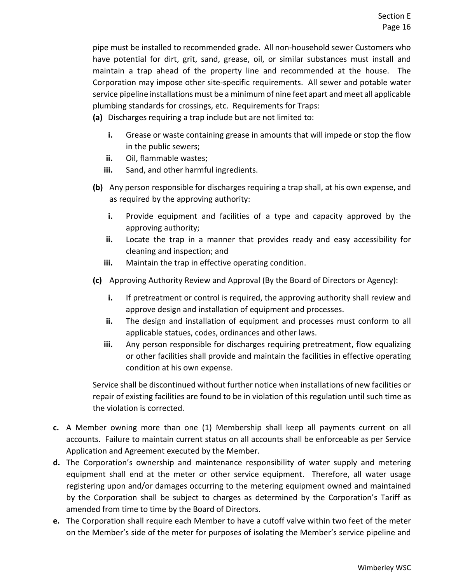pipe must be installed to recommended grade. All non-household sewer Customers who have potential for dirt, grit, sand, grease, oil, or similar substances must install and maintain a trap ahead of the property line and recommended at the house. The Corporation may impose other site-specific requirements. All sewer and potable water service pipeline installations must be a minimum of nine feet apart and meet all applicable plumbing standards for crossings, etc. Requirements for Traps:

**(a)** Discharges requiring a trap include but are not limited to:

- **i.** Grease or waste containing grease in amounts that will impede or stop the flow in the public sewers;
- **ii.** Oil, flammable wastes;
- **iii.** Sand, and other harmful ingredients.
- **(b)** Any person responsible for discharges requiring a trap shall, at his own expense, and as required by the approving authority:
	- **i.** Provide equipment and facilities of a type and capacity approved by the approving authority;
	- **ii.** Locate the trap in a manner that provides ready and easy accessibility for cleaning and inspection; and
	- **iii.** Maintain the trap in effective operating condition.
- **(c)** Approving Authority Review and Approval (By the Board of Directors or Agency):
	- **i.** If pretreatment or control is required, the approving authority shall review and approve design and installation of equipment and processes.
	- **ii.** The design and installation of equipment and processes must conform to all applicable statues, codes, ordinances and other laws.
	- **iii.** Any person responsible for discharges requiring pretreatment, flow equalizing or other facilities shall provide and maintain the facilities in effective operating condition at his own expense.

Service shall be discontinued without further notice when installations of new facilities or repair of existing facilities are found to be in violation of this regulation until such time as the violation is corrected.

- **c.** A Member owning more than one (1) Membership shall keep all payments current on all accounts. Failure to maintain current status on all accounts shall be enforceable as per Service Application and Agreement executed by the Member.
- **d.** The Corporation's ownership and maintenance responsibility of water supply and metering equipment shall end at the meter or other service equipment. Therefore, all water usage registering upon and/or damages occurring to the metering equipment owned and maintained by the Corporation shall be subject to charges as determined by the Corporation's Tariff as amended from time to time by the Board of Directors.
- **e.** The Corporation shall require each Member to have a cutoff valve within two feet of the meter on the Member's side of the meter for purposes of isolating the Member's service pipeline and